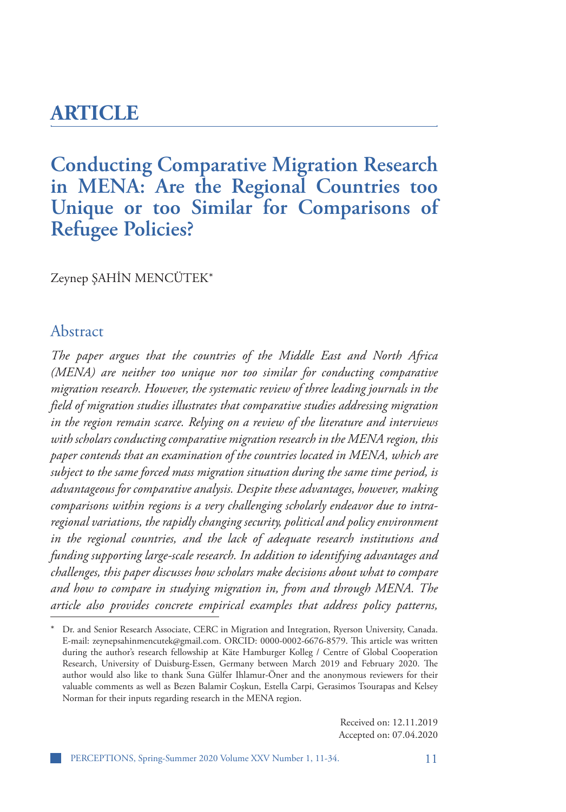# **ARTICLE**

# **Conducting Comparative Migration Research in MENA: Are the Regional Countries too Unique or too Similar for Comparisons of Refugee Policies?**

Zeynep ŞAHIN MENCUTEK\*

### Abstract

*The paper argues that the countries of the Middle East and North Africa (MENA) are neither too unique nor too similar for conducting comparative migration research. However, the systematic review of three leading journals in the field of migration studies illustrates that comparative studies addressing migration in the region remain scarce. Relying on a review of the literature and interviews with scholars conducting comparative migration research in the MENA region, this paper contends that an examination of the countries located in MENA, which are subject to the same forced mass migration situation during the same time period, is advantageous for comparative analysis. Despite these advantages, however, making comparisons within regions is a very challenging scholarly endeavor due to intraregional variations, the rapidly changing security, political and policy environment in the regional countries, and the lack of adequate research institutions and funding supporting large-scale research. In addition to identifying advantages and challenges, this paper discusses how scholars make decisions about what to compare and how to compare in studying migration in, from and through MENA. The article also provides concrete empirical examples that address policy patterns,* 

Received on: 12.11.2019 Accepted on: 07.04.2020

Dr. and Senior Research Associate, CERC in Migration and Integration, Ryerson University, Canada. E-mail: zeynepsahinmencutek@gmail.com. ORCID: 0000-0002-6676-8579. This article was written during the author's research fellowship at Käte Hamburger Kolleg / Centre of Global Cooperation Research, University of Duisburg-Essen, Germany between March 2019 and February 2020. The author would also like to thank Suna Gülfer Ihlamur-Öner and the anonymous reviewers for their valuable comments as well as Bezen Balamir Coşkun, Estella Carpi, Gerasimos Tsourapas and Kelsey Norman for their inputs regarding research in the MENA region.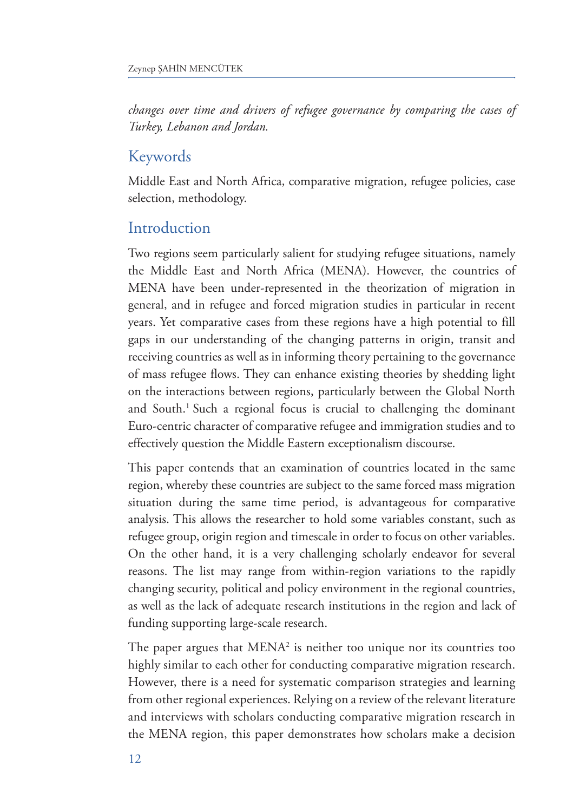*changes over time and drivers of refugee governance by comparing the cases of Turkey, Lebanon and Jordan.* 

### Keywords

Middle East and North Africa, comparative migration, refugee policies, case selection, methodology.

## Introduction

Two regions seem particularly salient for studying refugee situations, namely the Middle East and North Africa (MENA). However, the countries of MENA have been under-represented in the theorization of migration in general, and in refugee and forced migration studies in particular in recent years. Yet comparative cases from these regions have a high potential to fill gaps in our understanding of the changing patterns in origin, transit and receiving countries as well as in informing theory pertaining to the governance of mass refugee flows. They can enhance existing theories by shedding light on the interactions between regions, particularly between the Global North and South.<sup>1</sup> Such a regional focus is crucial to challenging the dominant Euro-centric character of comparative refugee and immigration studies and to effectively question the Middle Eastern exceptionalism discourse.

This paper contends that an examination of countries located in the same region, whereby these countries are subject to the same forced mass migration situation during the same time period, is advantageous for comparative analysis. This allows the researcher to hold some variables constant, such as refugee group, origin region and timescale in order to focus on other variables. On the other hand, it is a very challenging scholarly endeavor for several reasons. The list may range from within-region variations to the rapidly changing security, political and policy environment in the regional countries, as well as the lack of adequate research institutions in the region and lack of funding supporting large-scale research.

The paper argues that MENA2 is neither too unique nor its countries too highly similar to each other for conducting comparative migration research. However, there is a need for systematic comparison strategies and learning from other regional experiences. Relying on a review of the relevant literature and interviews with scholars conducting comparative migration research in the MENA region, this paper demonstrates how scholars make a decision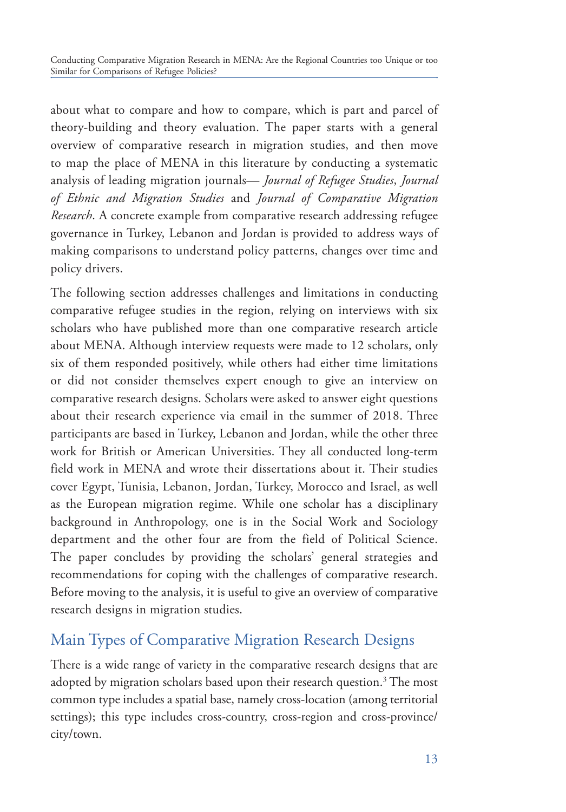about what to compare and how to compare, which is part and parcel of theory-building and theory evaluation. The paper starts with a general overview of comparative research in migration studies, and then move to map the place of MENA in this literature by conducting a systematic analysis of leading migration journals— *Journal of Refugee Studies*, *Journal of Ethnic and Migration Studies* and *Journal of Comparative Migration Research*. A concrete example from comparative research addressing refugee governance in Turkey, Lebanon and Jordan is provided to address ways of making comparisons to understand policy patterns, changes over time and policy drivers.

The following section addresses challenges and limitations in conducting comparative refugee studies in the region, relying on interviews with six scholars who have published more than one comparative research article about MENA. Although interview requests were made to 12 scholars, only six of them responded positively, while others had either time limitations or did not consider themselves expert enough to give an interview on comparative research designs. Scholars were asked to answer eight questions about their research experience via email in the summer of 2018. Three participants are based in Turkey, Lebanon and Jordan, while the other three work for British or American Universities. They all conducted long-term field work in MENA and wrote their dissertations about it. Their studies cover Egypt, Tunisia, Lebanon, Jordan, Turkey, Morocco and Israel, as well as the European migration regime. While one scholar has a disciplinary background in Anthropology, one is in the Social Work and Sociology department and the other four are from the field of Political Science. The paper concludes by providing the scholars' general strategies and recommendations for coping with the challenges of comparative research. Before moving to the analysis, it is useful to give an overview of comparative research designs in migration studies.

# Main Types of Comparative Migration Research Designs

There is a wide range of variety in the comparative research designs that are adopted by migration scholars based upon their research question.<sup>3</sup> The most common type includes a spatial base, namely cross-location (among territorial settings); this type includes cross-country, cross-region and cross-province/ city/town.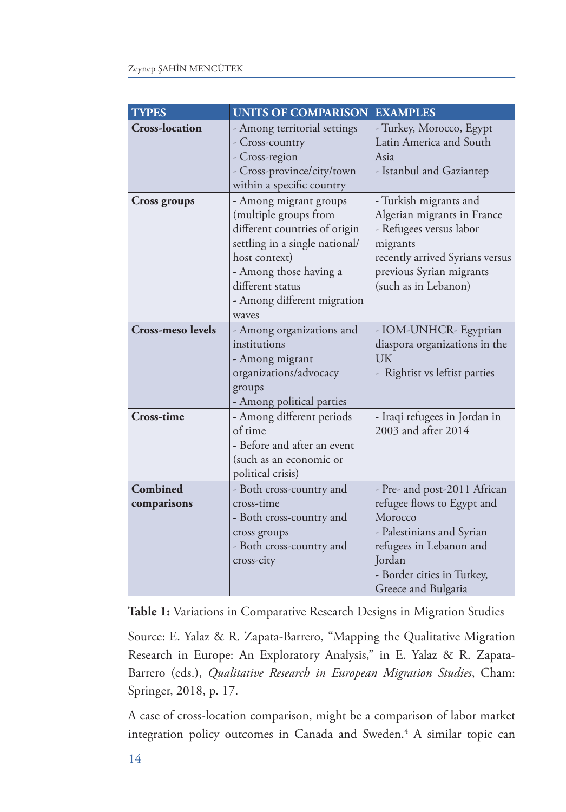| <b>TYPES</b>             | <b>UNITS OF COMPARISON</b>     | <b>EXAMPLES</b>                 |
|--------------------------|--------------------------------|---------------------------------|
| <b>Cross-location</b>    | - Among territorial settings   | - Turkey, Morocco, Egypt        |
|                          | - Cross-country                | Latin America and South         |
|                          | - Cross-region                 | Asia                            |
|                          | - Cross-province/city/town     | - Istanbul and Gaziantep        |
|                          | within a specific country      |                                 |
| <b>Cross groups</b>      | - Among migrant groups         | - Turkish migrants and          |
|                          | (multiple groups from          | Algerian migrants in France     |
|                          | different countries of origin  | - Refugees versus labor         |
|                          | settling in a single national/ | migrants                        |
|                          | host context)                  | recently arrived Syrians versus |
|                          | - Among those having a         | previous Syrian migrants        |
|                          | different status               | (such as in Lebanon)            |
|                          | - Among different migration    |                                 |
|                          | waves                          |                                 |
| <b>Cross-meso levels</b> | - Among organizations and      | - IOM-UNHCR- Egyptian           |
|                          | institutions                   | diaspora organizations in the   |
|                          | - Among migrant                | UK                              |
|                          | organizations/advocacy         | - Rightist vs leftist parties   |
|                          | groups                         |                                 |
|                          | - Among political parties      |                                 |
| <b>Cross-time</b>        | - Among different periods      | - Iraqi refugees in Jordan in   |
|                          | of time                        | 2003 and after 2014             |
|                          | - Before and after an event    |                                 |
|                          | (such as an economic or        |                                 |
|                          | political crisis)              |                                 |
| Combined                 | - Both cross-country and       | - Pre- and post-2011 African    |
| comparisons              | cross-time                     | refugee flows to Egypt and      |
|                          | - Both cross-country and       | Morocco                         |
|                          | cross groups                   | - Palestinians and Syrian       |
|                          | - Both cross-country and       | refugees in Lebanon and         |
|                          | cross-city                     | Jordan                          |
|                          |                                | - Border cities in Turkey,      |
|                          |                                | Greece and Bulgaria             |

**Table 1:** Variations in Comparative Research Designs in Migration Studies

Source: E. Yalaz & R. Zapata-Barrero, "Mapping the Qualitative Migration Research in Europe: An Exploratory Analysis," in E. Yalaz & R. Zapata-Barrero (eds.), *Qualitative Research in European Migration Studies*, Cham: Springer, 2018, p. 17.

A case of cross-location comparison, might be a comparison of labor market integration policy outcomes in Canada and Sweden.<sup>4</sup> A similar topic can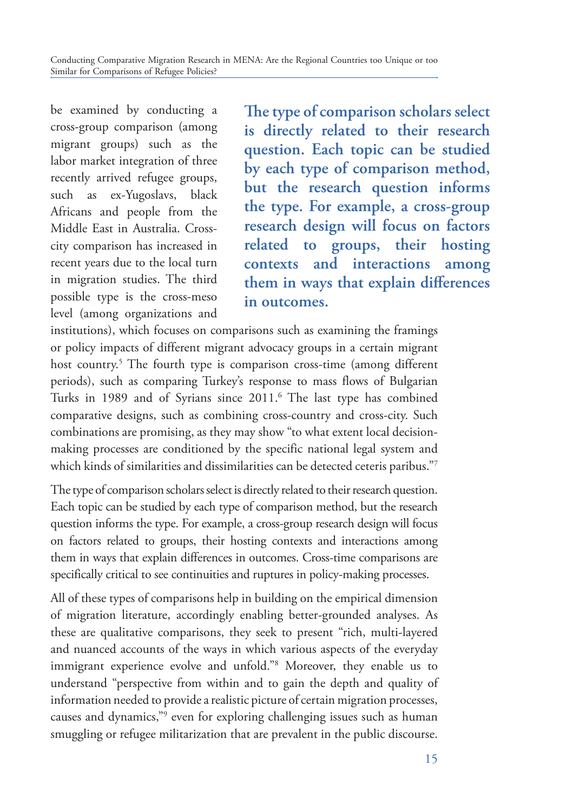be examined by conducting a cross-group comparison (among migrant groups) such as the labor market integration of three recently arrived refugee groups, such as ex‐Yugoslavs, black Africans and people from the Middle East in Australia. Crosscity comparison has increased in recent years due to the local turn in migration studies. The third possible type is the cross-meso level (among organizations and **The type of comparison scholars select is directly related to their research question. Each topic can be studied by each type of comparison method, but the research question informs the type. For example, a cross-group research design will focus on factors related to groups, their hosting contexts and interactions among them in ways that explain differences in outcomes.**

institutions), which focuses on comparisons such as examining the framings or policy impacts of different migrant advocacy groups in a certain migrant host country.5 The fourth type is comparison cross-time (among different periods), such as comparing Turkey's response to mass flows of Bulgarian Turks in 1989 and of Syrians since 2011.6 The last type has combined comparative designs, such as combining cross-country and cross-city. Such combinations are promising, as they may show "to what extent local decisionmaking processes are conditioned by the specific national legal system and which kinds of similarities and dissimilarities can be detected ceteris paribus."7

The type of comparison scholars select is directly related to their research question. Each topic can be studied by each type of comparison method, but the research question informs the type. For example, a cross-group research design will focus on factors related to groups, their hosting contexts and interactions among them in ways that explain differences in outcomes. Cross-time comparisons are specifically critical to see continuities and ruptures in policy-making processes.

All of these types of comparisons help in building on the empirical dimension of migration literature, accordingly enabling better-grounded analyses. As these are qualitative comparisons, they seek to present "rich, multi-layered and nuanced accounts of the ways in which various aspects of the everyday immigrant experience evolve and unfold."8 Moreover, they enable us to understand "perspective from within and to gain the depth and quality of information needed to provide a realistic picture of certain migration processes, causes and dynamics,"<sup>9</sup> even for exploring challenging issues such as human smuggling or refugee militarization that are prevalent in the public discourse.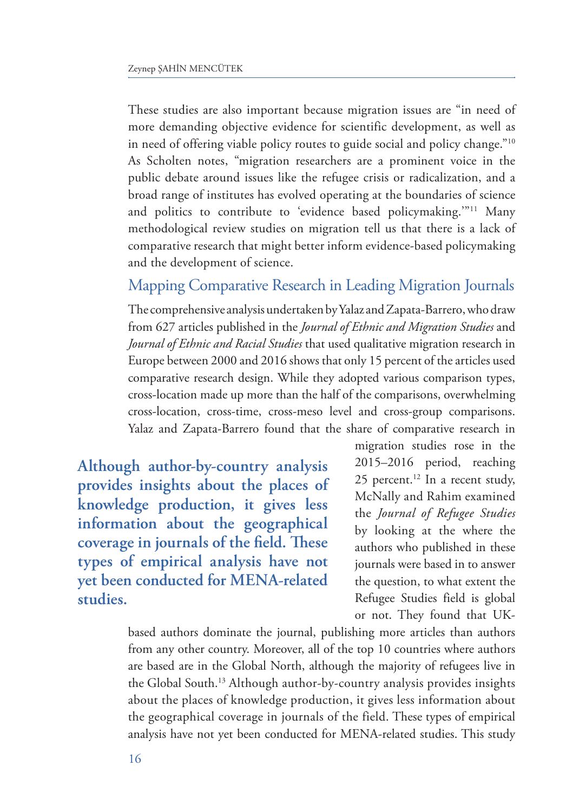These studies are also important because migration issues are "in need of more demanding objective evidence for scientific development, as well as in need of offering viable policy routes to guide social and policy change."10 As Scholten notes, "migration researchers are a prominent voice in the public debate around issues like the refugee crisis or radicalization, and a broad range of institutes has evolved operating at the boundaries of science and politics to contribute to 'evidence based policymaking.'"<sup>11</sup> Many methodological review studies on migration tell us that there is a lack of comparative research that might better inform evidence-based policymaking and the development of science.

### Mapping Comparative Research in Leading Migration Journals

The comprehensive analysis undertaken by Yalaz and Zapata-Barrero, who draw from 627 articles published in the *Journal of Ethnic and Migration Studies* and *Journal of Ethnic and Racial Studies* that used qualitative migration research in Europe between 2000 and 2016 shows that only 15 percent of the articles used comparative research design. While they adopted various comparison types, cross-location made up more than the half of the comparisons, overwhelming cross-location, cross-time, cross-meso level and cross-group comparisons. Yalaz and Zapata-Barrero found that the share of comparative research in

**Although author-by-country analysis provides insights about the places of knowledge production, it gives less information about the geographical coverage in journals of the field. These types of empirical analysis have not yet been conducted for MENA-related studies.**

migration studies rose in the 2015–2016 period, reaching 25 percent.<sup>12</sup> In a recent study, McNally and Rahim examined the *Journal of Refugee Studies* by looking at the where the authors who published in these journals were based in to answer the question, to what extent the Refugee Studies field is global or not. They found that UK-

based authors dominate the journal, publishing more articles than authors from any other country. Moreover, all of the top 10 countries where authors are based are in the Global North, although the majority of refugees live in the Global South.13 Although author-by-country analysis provides insights about the places of knowledge production, it gives less information about the geographical coverage in journals of the field. These types of empirical analysis have not yet been conducted for MENA-related studies. This study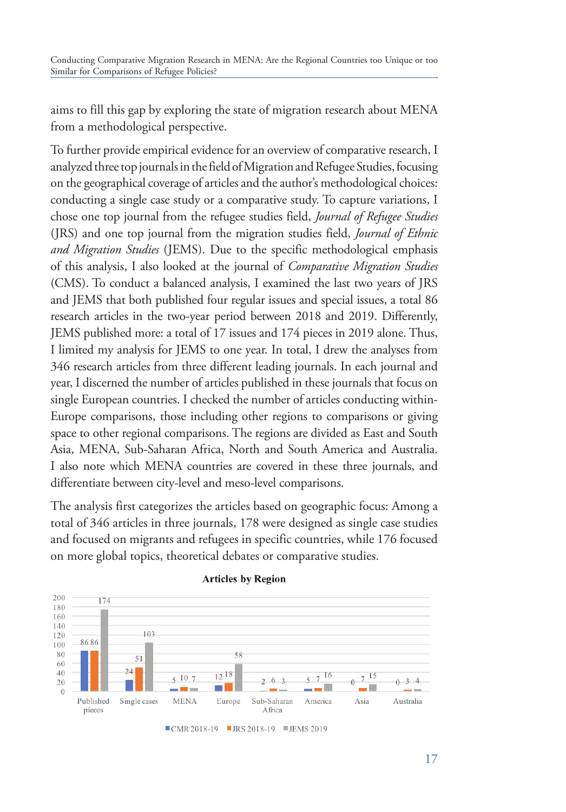aims to fill this gap by exploring the state of migration research about MENA from a methodological perspective.

To further provide empirical evidence for an overview of comparative research, I analyzed three top journals in the field of Migration and Refugee Studies, focusing on the geographical coverage of articles and the author's methodological choices: conducting a single case study or a comparative study. To capture variations, I chose one top journal from the refugee studies field, *Journal of Refugee Studies*  (JRS) and one top journal from the migration studies field, *Journal of Ethnic and Migration Studies* (JEMS). Due to the specific methodological emphasis of this analysis, I also looked at the journal of *Comparative Migration Studies* (CMS). To conduct a balanced analysis, I examined the last two years of JRS and JEMS that both published four regular issues and special issues, a total 86 research articles in the two-year period between 2018 and 2019. Differently, JEMS published more: a total of 17 issues and 174 pieces in 2019 alone. Thus, I limited my analysis for JEMS to one year. In total, I drew the analyses from 346 research articles from three different leading journals. In each journal and year, I discerned the number of articles published in these journals that focus on single European countries. I checked the number of articles conducting within-Europe comparisons, those including other regions to comparisons or giving space to other regional comparisons. The regions are divided as East and South Asia, MENA, Sub-Saharan Africa, North and South America and Australia. I also note which MENA countries are covered in these three journals, and differentiate between city-level and meso-level comparisons.

The analysis first categorizes the articles based on geographic focus: Among a total of 346 articles in three journals, 178 were designed as single case studies and focused on migrants and refugees in specific countries, while 176 focused on more global topics, theoretical debates or comparative studies.



#### **Articles by Region**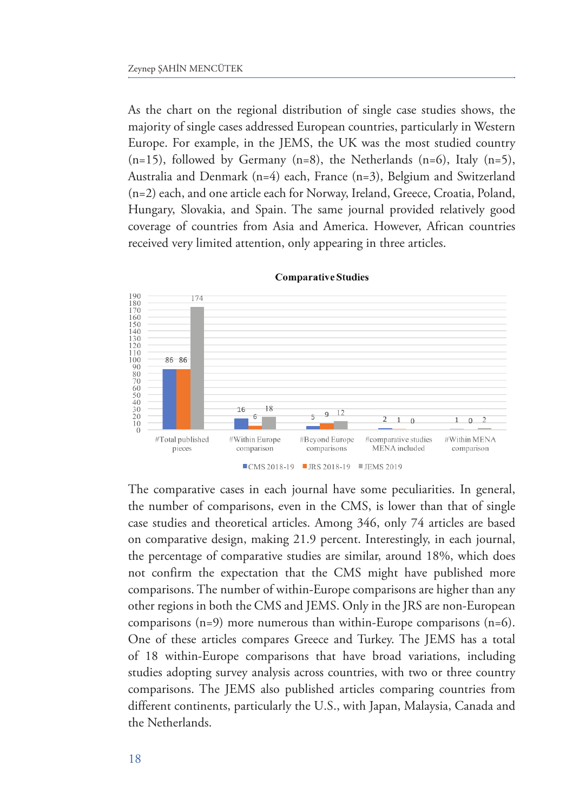As the chart on the regional distribution of single case studies shows, the majority of single cases addressed European countries, particularly in Western Europe. For example, in the JEMS, the UK was the most studied country  $(n=15)$ , followed by Germany  $(n=8)$ , the Netherlands  $(n=6)$ , Italy  $(n=5)$ , Australia and Denmark (n=4) each, France (n=3), Belgium and Switzerland (n=2) each, and one article each for Norway, Ireland, Greece, Croatia, Poland, Hungary, Slovakia, and Spain. The same journal provided relatively good coverage of countries from Asia and America. However, African countries received very limited attention, only appearing in three articles.



**Comparative Studies** 

The comparative cases in each journal have some peculiarities. In general, the number of comparisons, even in the CMS, is lower than that of single case studies and theoretical articles. Among 346, only 74 articles are based on comparative design, making 21.9 percent. Interestingly, in each journal, the percentage of comparative studies are similar, around 18%, which does not confirm the expectation that the CMS might have published more comparisons. The number of within-Europe comparisons are higher than any other regions in both the CMS and JEMS. Only in the JRS are non-European comparisons (n=9) more numerous than within-Europe comparisons (n=6). One of these articles compares Greece and Turkey. The JEMS has a total of 18 within-Europe comparisons that have broad variations, including studies adopting survey analysis across countries, with two or three country comparisons. The JEMS also published articles comparing countries from different continents, particularly the U.S., with Japan, Malaysia, Canada and the Netherlands.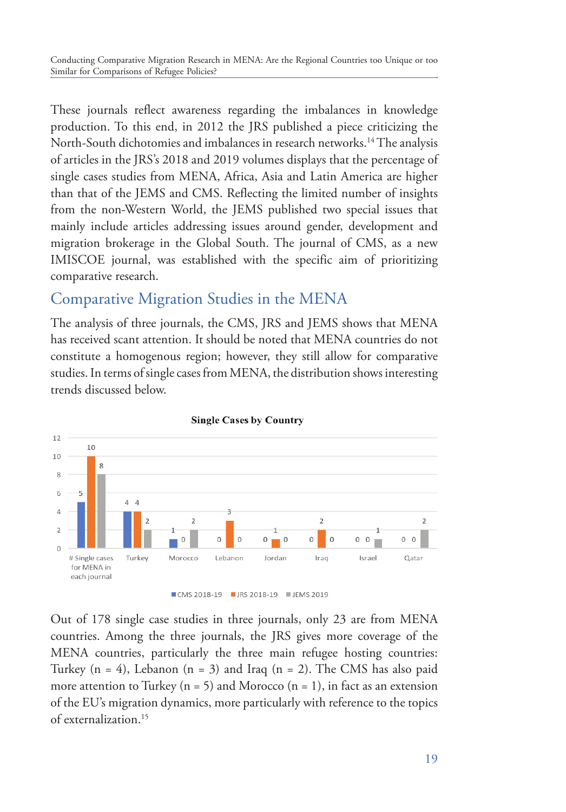These journals reflect awareness regarding the imbalances in knowledge production. To this end, in 2012 the JRS published a piece criticizing the North-South dichotomies and imbalances in research networks.<sup>14</sup> The analysis of articles in the JRS's 2018 and 2019 volumes displays that the percentage of single cases studies from MENA, Africa, Asia and Latin America are higher than that of the JEMS and CMS. Reflecting the limited number of insights from the non-Western World, the JEMS published two special issues that mainly include articles addressing issues around gender, development and migration brokerage in the Global South. The journal of CMS, as a new IMISCOE journal, was established with the specific aim of prioritizing comparative research.

### Comparative Migration Studies in the MENA

The analysis of three journals, the CMS, JRS and JEMS shows that MENA has received scant attention. It should be noted that MENA countries do not constitute a homogenous region; however, they still allow for comparative studies. In terms of single cases from MENA, the distribution shows interesting trends discussed below.



**Single Cases by Country** 

Out of 178 single case studies in three journals, only 23 are from MENA countries. Among the three journals, the JRS gives more coverage of the MENA countries, particularly the three main refugee hosting countries: Turkey  $(n = 4)$ , Lebanon  $(n = 3)$  and Iraq  $(n = 2)$ . The CMS has also paid more attention to Turkey ( $n = 5$ ) and Morocco ( $n = 1$ ), in fact as an extension of the EU's migration dynamics, more particularly with reference to the topics of externalization.<sup>15</sup>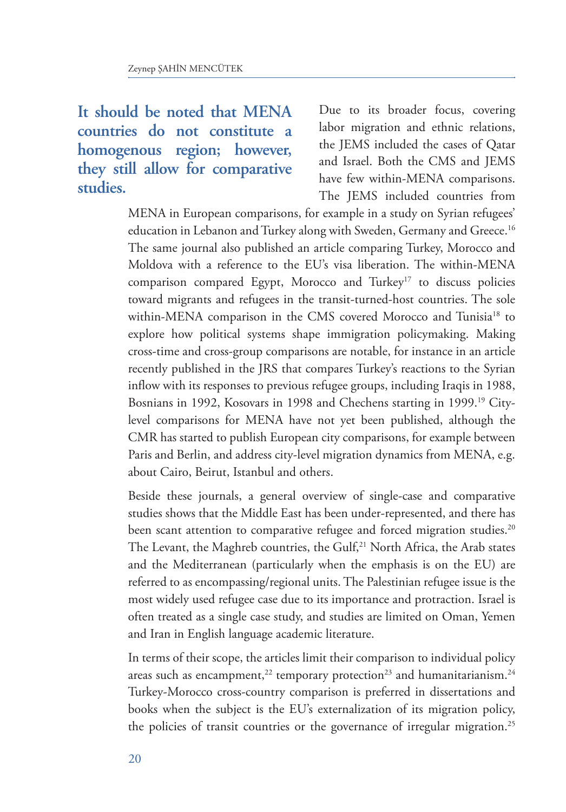## **It should be noted that MENA countries do not constitute a homogenous region; however, they still allow for comparative studies.**

Due to its broader focus, covering labor migration and ethnic relations, the JEMS included the cases of Qatar and Israel. Both the CMS and JEMS have few within-MENA comparisons. The JEMS included countries from

MENA in European comparisons, for example in a study on Syrian refugees' education in Lebanon and Turkey along with Sweden, Germany and Greece.<sup>16</sup> The same journal also published an article comparing Turkey, Morocco and Moldova with a reference to the EU's visa liberation. The within-MENA comparison compared Egypt, Morocco and Turkey<sup>17</sup> to discuss policies toward migrants and refugees in the transit-turned-host countries. The sole within-MENA comparison in the CMS covered Morocco and Tunisia<sup>18</sup> to explore how political systems shape immigration policymaking. Making cross-time and cross-group comparisons are notable, for instance in an article recently published in the JRS that compares Turkey's reactions to the Syrian inflow with its responses to previous refugee groups, including Iraqis in 1988, Bosnians in 1992, Kosovars in 1998 and Chechens starting in 1999.19 Citylevel comparisons for MENA have not yet been published, although the CMR has started to publish European city comparisons, for example between Paris and Berlin, and address city-level migration dynamics from MENA, e.g. about Cairo, Beirut, Istanbul and others.

Beside these journals, a general overview of single-case and comparative studies shows that the Middle East has been under-represented, and there has been scant attention to comparative refugee and forced migration studies.<sup>20</sup> The Levant, the Maghreb countries, the Gulf,<sup>21</sup> North Africa, the Arab states and the Mediterranean (particularly when the emphasis is on the EU) are referred to as encompassing/regional units. The Palestinian refugee issue is the most widely used refugee case due to its importance and protraction. Israel is often treated as a single case study, and studies are limited on Oman, Yemen and Iran in English language academic literature.

In terms of their scope, the articles limit their comparison to individual policy areas such as encampment,<sup>22</sup> temporary protection<sup>23</sup> and humanitarianism.<sup>24</sup> Turkey-Morocco cross-country comparison is preferred in dissertations and books when the subject is the EU's externalization of its migration policy, the policies of transit countries or the governance of irregular migration.25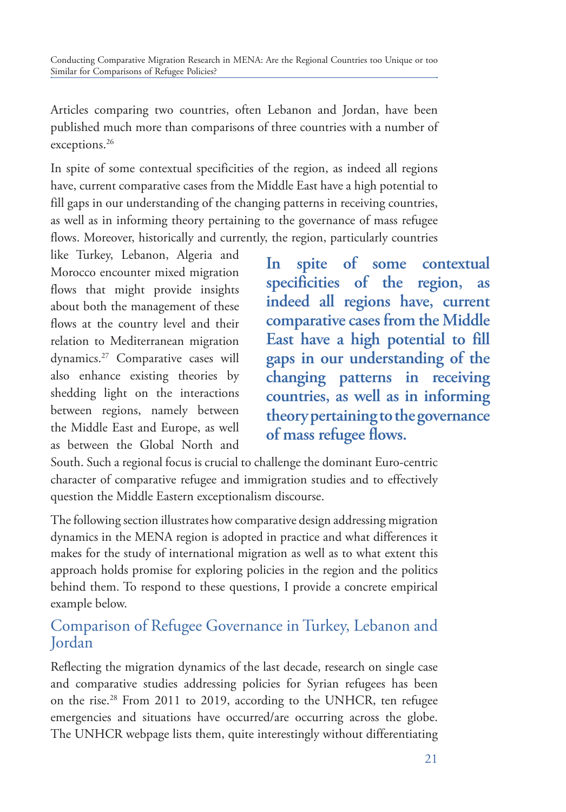Articles comparing two countries, often Lebanon and Jordan, have been published much more than comparisons of three countries with a number of exceptions.<sup>26</sup>

In spite of some contextual specificities of the region, as indeed all regions have, current comparative cases from the Middle East have a high potential to fill gaps in our understanding of the changing patterns in receiving countries, as well as in informing theory pertaining to the governance of mass refugee flows. Moreover, historically and currently, the region, particularly countries

like Turkey, Lebanon, Algeria and Morocco encounter mixed migration flows that might provide insights about both the management of these flows at the country level and their relation to Mediterranean migration dynamics.27 Comparative cases will also enhance existing theories by shedding light on the interactions between regions, namely between the Middle East and Europe, as well as between the Global North and

**In spite of some contextual specificities of the region, as indeed all regions have, current comparative cases from the Middle East have a high potential to fill gaps in our understanding of the changing patterns in receiving countries, as well as in informing theory pertaining to the governance of mass refugee flows.**

South. Such a regional focus is crucial to challenge the dominant Euro-centric character of comparative refugee and immigration studies and to effectively question the Middle Eastern exceptionalism discourse.

The following section illustrates how comparative design addressing migration dynamics in the MENA region is adopted in practice and what differences it makes for the study of international migration as well as to what extent this approach holds promise for exploring policies in the region and the politics behind them. To respond to these questions, I provide a concrete empirical example below.

### Comparison of Refugee Governance in Turkey, Lebanon and Jordan

Reflecting the migration dynamics of the last decade, research on single case and comparative studies addressing policies for Syrian refugees has been on the rise.<sup>28</sup> From 2011 to 2019, according to the UNHCR, ten refugee emergencies and situations have occurred/are occurring across the globe. The UNHCR webpage lists them, quite interestingly without differentiating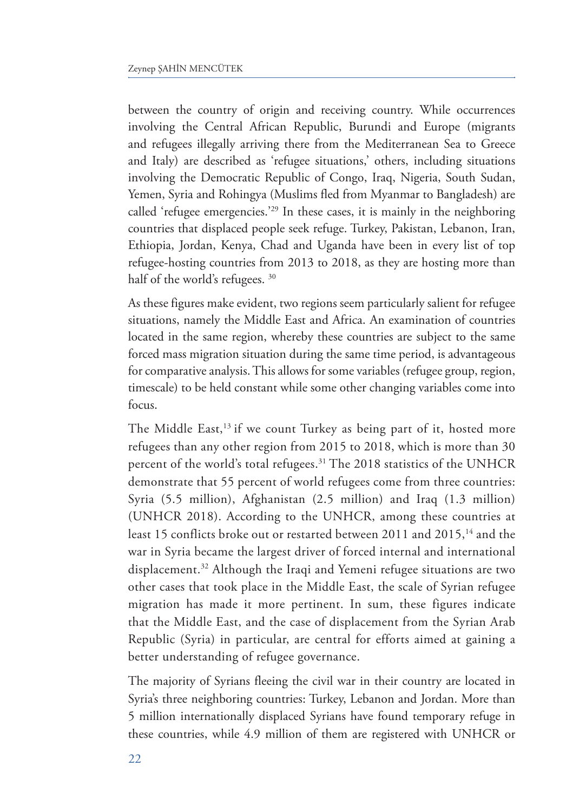between the country of origin and receiving country. While occurrences involving the Central African Republic, Burundi and Europe (migrants and refugees illegally arriving there from the Mediterranean Sea to Greece and Italy) are described as 'refugee situations,' others, including situations involving the Democratic Republic of Congo, Iraq, Nigeria, South Sudan, Yemen, Syria and Rohingya (Muslims fled from Myanmar to Bangladesh) are called 'refugee emergencies.'29 In these cases, it is mainly in the neighboring countries that displaced people seek refuge. Turkey, Pakistan, Lebanon, Iran, Ethiopia, Jordan, Kenya, Chad and Uganda have been in every list of top refugee-hosting countries from 2013 to 2018, as they are hosting more than half of the world's refugees. 30

As these figures make evident, two regions seem particularly salient for refugee situations, namely the Middle East and Africa. An examination of countries located in the same region, whereby these countries are subject to the same forced mass migration situation during the same time period, is advantageous for comparative analysis. This allows for some variables (refugee group, region, timescale) to be held constant while some other changing variables come into focus.

The Middle East,<sup>13</sup> if we count Turkey as being part of it, hosted more refugees than any other region from 2015 to 2018, which is more than 30 percent of the world's total refugees.<sup>31</sup> The 2018 statistics of the UNHCR demonstrate that 55 percent of world refugees come from three countries: Syria (5.5 million), Afghanistan (2.5 million) and Iraq (1.3 million) (UNHCR 2018). According to the UNHCR, among these countries at least 15 conflicts broke out or restarted between 2011 and 2015,<sup>14</sup> and the war in Syria became the largest driver of forced internal and international displacement.32 Although the Iraqi and Yemeni refugee situations are two other cases that took place in the Middle East, the scale of Syrian refugee migration has made it more pertinent. In sum, these figures indicate that the Middle East, and the case of displacement from the Syrian Arab Republic (Syria) in particular, are central for efforts aimed at gaining a better understanding of refugee governance.

The majority of Syrians fleeing the civil war in their country are located in Syria's three neighboring countries: Turkey, Lebanon and Jordan. More than 5 million internationally displaced Syrians have found temporary refuge in these countries, while 4.9 million of them are registered with UNHCR or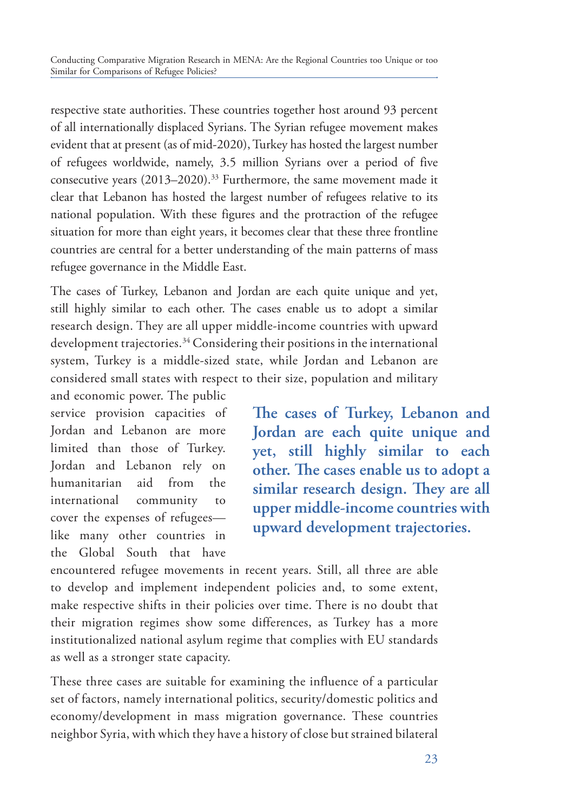respective state authorities. These countries together host around 93 percent of all internationally displaced Syrians. The Syrian refugee movement makes evident that at present (as of mid-2020), Turkey has hosted the largest number of refugees worldwide, namely, 3.5 million Syrians over a period of five consecutive years (2013–2020).<sup>33</sup> Furthermore, the same movement made it clear that Lebanon has hosted the largest number of refugees relative to its national population. With these figures and the protraction of the refugee situation for more than eight years, it becomes clear that these three frontline countries are central for a better understanding of the main patterns of mass refugee governance in the Middle East.

The cases of Turkey, Lebanon and Jordan are each quite unique and yet, still highly similar to each other. The cases enable us to adopt a similar research design. They are all upper middle-income countries with upward development trajectories.<sup>34</sup> Considering their positions in the international system, Turkey is a middle-sized state, while Jordan and Lebanon are considered small states with respect to their size, population and military

and economic power. The public service provision capacities of Jordan and Lebanon are more limited than those of Turkey. Jordan and Lebanon rely on humanitarian aid from the international community to cover the expenses of refugees like many other countries in the Global South that have

**The cases of Turkey, Lebanon and Jordan are each quite unique and yet, still highly similar to each other. The cases enable us to adopt a similar research design. They are all upper middle-income countries with upward development trajectories.**

encountered refugee movements in recent years. Still, all three are able to develop and implement independent policies and, to some extent, make respective shifts in their policies over time. There is no doubt that their migration regimes show some differences, as Turkey has a more institutionalized national asylum regime that complies with EU standards as well as a stronger state capacity.

These three cases are suitable for examining the influence of a particular set of factors, namely international politics, security/domestic politics and economy/development in mass migration governance. These countries neighbor Syria, with which they have a history of close but strained bilateral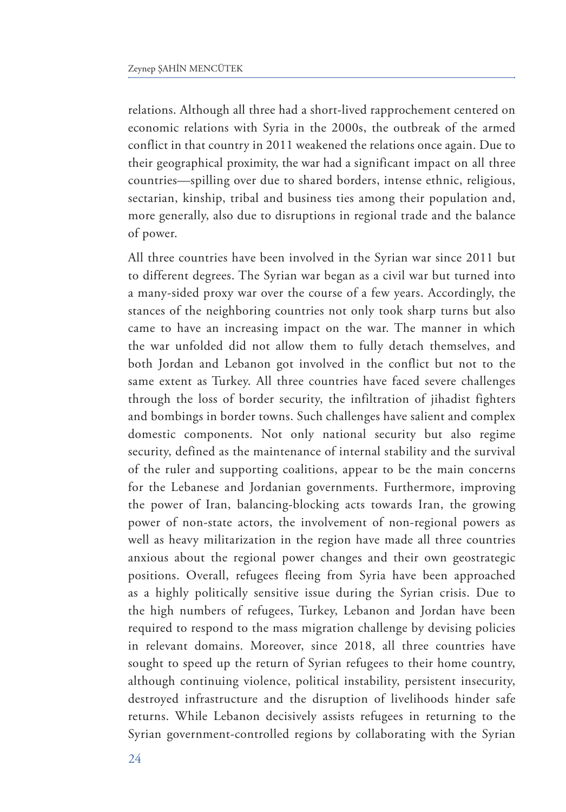relations. Although all three had a short-lived rapprochement centered on economic relations with Syria in the 2000s, the outbreak of the armed conflict in that country in 2011 weakened the relations once again. Due to their geographical proximity, the war had a significant impact on all three countries—spilling over due to shared borders, intense ethnic, religious, sectarian, kinship, tribal and business ties among their population and, more generally, also due to disruptions in regional trade and the balance of power.

All three countries have been involved in the Syrian war since 2011 but to different degrees. The Syrian war began as a civil war but turned into a many-sided proxy war over the course of a few years. Accordingly, the stances of the neighboring countries not only took sharp turns but also came to have an increasing impact on the war. The manner in which the war unfolded did not allow them to fully detach themselves, and both Jordan and Lebanon got involved in the conflict but not to the same extent as Turkey. All three countries have faced severe challenges through the loss of border security, the infiltration of jihadist fighters and bombings in border towns. Such challenges have salient and complex domestic components. Not only national security but also regime security, defined as the maintenance of internal stability and the survival of the ruler and supporting coalitions, appear to be the main concerns for the Lebanese and Jordanian governments. Furthermore, improving the power of Iran, balancing-blocking acts towards Iran, the growing power of non-state actors, the involvement of non-regional powers as well as heavy militarization in the region have made all three countries anxious about the regional power changes and their own geostrategic positions. Overall, refugees fleeing from Syria have been approached as a highly politically sensitive issue during the Syrian crisis. Due to the high numbers of refugees, Turkey, Lebanon and Jordan have been required to respond to the mass migration challenge by devising policies in relevant domains. Moreover, since 2018, all three countries have sought to speed up the return of Syrian refugees to their home country, although continuing violence, political instability, persistent insecurity, destroyed infrastructure and the disruption of livelihoods hinder safe returns. While Lebanon decisively assists refugees in returning to the Syrian government-controlled regions by collaborating with the Syrian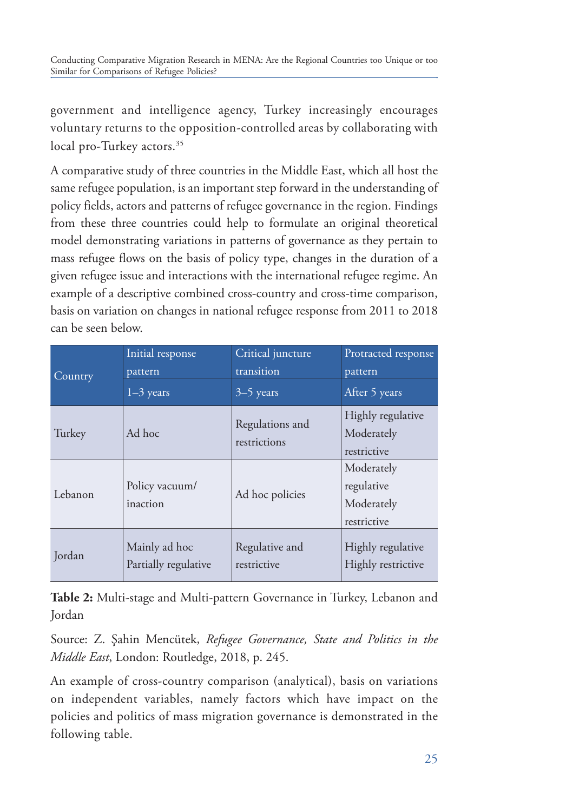government and intelligence agency, Turkey increasingly encourages voluntary returns to the opposition-controlled areas by collaborating with local pro-Turkey actors.<sup>35</sup>

A comparative study of three countries in the Middle East, which all host the same refugee population, is an important step forward in the understanding of policy fields, actors and patterns of refugee governance in the region. Findings from these three countries could help to formulate an original theoretical model demonstrating variations in patterns of governance as they pertain to mass refugee flows on the basis of policy type, changes in the duration of a given refugee issue and interactions with the international refugee regime. An example of a descriptive combined cross-country and cross-time comparison, basis on variation on changes in national refugee response from 2011 to 2018 can be seen below.

| Country | Initial response           | Critical juncture               | Protracted response                                   |  |
|---------|----------------------------|---------------------------------|-------------------------------------------------------|--|
|         | pattern                    | transition                      | pattern                                               |  |
|         | $1-3$ years                | $3-5$ years                     | After 5 years                                         |  |
| Turkey  | Ad hoc                     | Regulations and<br>restrictions |                                                       |  |
| Lebanon | Policy vacuum/<br>inaction | Ad hoc policies                 | Moderately<br>regulative<br>Moderately<br>restrictive |  |
| Jordan  | Mainly ad hoc              | Regulative and                  | Highly regulative                                     |  |
|         | Partially regulative       | restrictive                     | Highly restrictive                                    |  |

**Table 2:** Multi-stage and Multi-pattern Governance in Turkey, Lebanon and Jordan

Source: Z. Şahin Mencütek, *Refugee Governance, State and Politics in the Middle East*, London: Routledge, 2018, p. 245.

An example of cross-country comparison (analytical), basis on variations on independent variables, namely factors which have impact on the policies and politics of mass migration governance is demonstrated in the following table.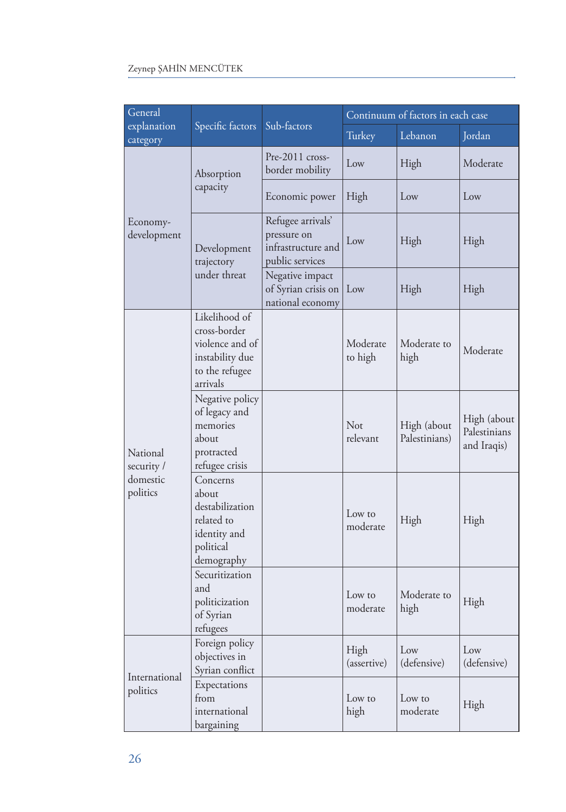| General                                        |                                                                                                   |                                                                           | Continuum of factors in each case |                              |                                            |
|------------------------------------------------|---------------------------------------------------------------------------------------------------|---------------------------------------------------------------------------|-----------------------------------|------------------------------|--------------------------------------------|
| explanation<br>category                        | Specific factors                                                                                  | Sub-factors                                                               | Turkey                            | Lebanon                      | Jordan                                     |
| Economy-<br>development                        | Absorption                                                                                        | Pre-2011 cross-<br>border mobility                                        | Low                               | High                         | Moderate                                   |
|                                                | capacity                                                                                          | Economic power                                                            | High                              | Low                          | Low                                        |
|                                                | Development<br>trajectory                                                                         | Refugee arrivals'<br>pressure on<br>infrastructure and<br>public services | Low                               | High                         | High                                       |
|                                                | under threat                                                                                      | Negative impact<br>of Syrian crisis on<br>national economy                | Low                               | High                         | High                                       |
| National<br>security /<br>domestic<br>politics | Likelihood of<br>cross-border<br>violence and of<br>instability due<br>to the refugee<br>arrivals |                                                                           | Moderate<br>to high               | Moderate to<br>high          | Moderate                                   |
|                                                | Negative policy<br>of legacy and<br>memories<br>about<br>protracted<br>refugee crisis             |                                                                           | Not<br>relevant                   | High (about<br>Palestinians) | High (about<br>Palestinians<br>and Iraqis) |
|                                                | Concerns<br>about<br>destabilization<br>related to<br>identity and<br>political<br>demography     |                                                                           | Low to<br>moderate                | High                         | High                                       |
|                                                | Securitization<br>and<br>politicization<br>of Syrian<br>refugees                                  |                                                                           | Low to<br>moderate                | Moderate to<br>high          | High                                       |
| International<br>politics                      | Foreign policy<br>objectives in<br>Syrian conflict                                                |                                                                           | High<br>(assertive)               | Low<br>(defensive)           | Low<br>(defensive)                         |
|                                                | Expectations<br>from<br>international<br>bargaining                                               |                                                                           | Low to<br>high                    | Low to<br>moderate           | High                                       |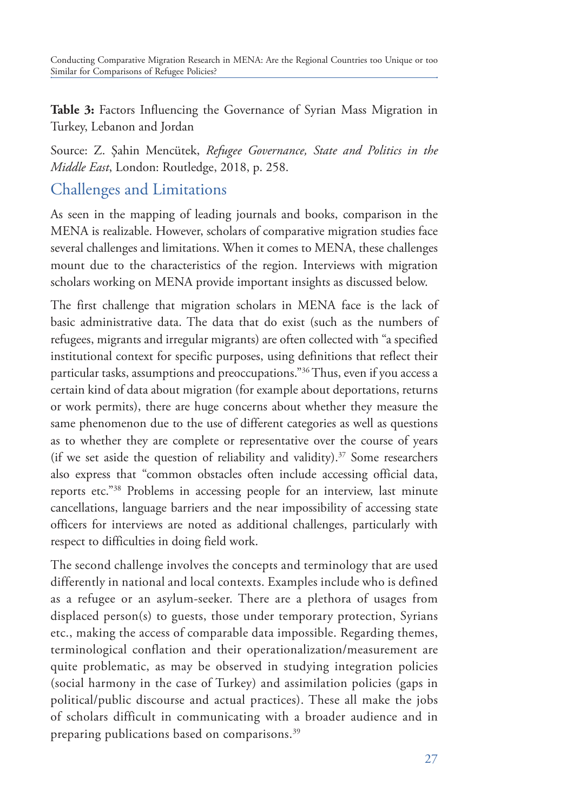**Table 3:** Factors Influencing the Governance of Syrian Mass Migration in Turkey, Lebanon and Jordan

Source: Z. Şahin Mencütek, *Refugee Governance, State and Politics in the Middle East*, London: Routledge, 2018, p. 258.

### Challenges and Limitations

As seen in the mapping of leading journals and books, comparison in the MENA is realizable. However, scholars of comparative migration studies face several challenges and limitations. When it comes to MENA, these challenges mount due to the characteristics of the region. Interviews with migration scholars working on MENA provide important insights as discussed below.

The first challenge that migration scholars in MENA face is the lack of basic administrative data. The data that do exist (such as the numbers of refugees, migrants and irregular migrants) are often collected with "a specified institutional context for specific purposes, using definitions that reflect their particular tasks, assumptions and preoccupations."<sup>36</sup> Thus, even if you access a certain kind of data about migration (for example about deportations, returns or work permits), there are huge concerns about whether they measure the same phenomenon due to the use of different categories as well as questions as to whether they are complete or representative over the course of years (if we set aside the question of reliability and validity). $37$  Some researchers also express that "common obstacles often include accessing official data, reports etc."38 Problems in accessing people for an interview, last minute cancellations, language barriers and the near impossibility of accessing state officers for interviews are noted as additional challenges, particularly with respect to difficulties in doing field work.

The second challenge involves the concepts and terminology that are used differently in national and local contexts. Examples include who is defined as a refugee or an asylum-seeker. There are a plethora of usages from displaced person(s) to guests, those under temporary protection, Syrians etc., making the access of comparable data impossible. Regarding themes, terminological conflation and their operationalization/measurement are quite problematic, as may be observed in studying integration policies (social harmony in the case of Turkey) and assimilation policies (gaps in political/public discourse and actual practices). These all make the jobs of scholars difficult in communicating with a broader audience and in preparing publications based on comparisons.<sup>39</sup>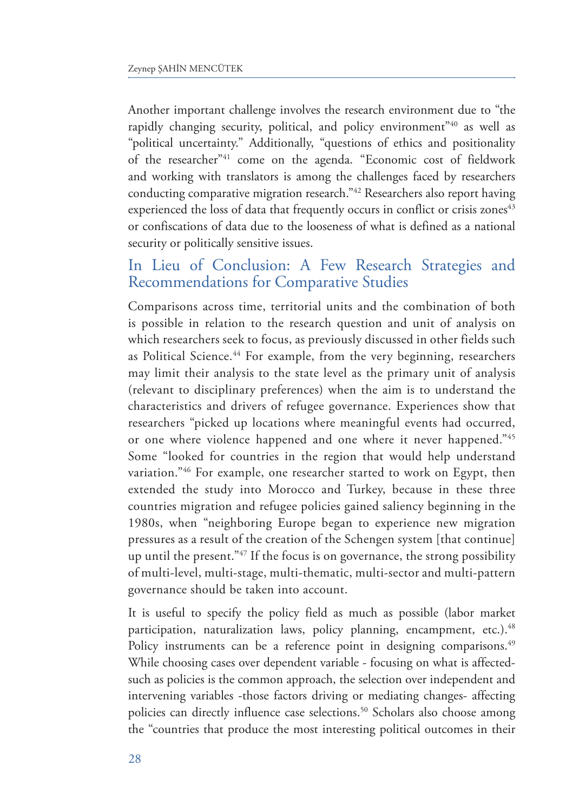Another important challenge involves the research environment due to "the rapidly changing security, political, and policy environment"40 as well as "political uncertainty." Additionally, "questions of ethics and positionality of the researcher"41 come on the agenda. "Economic cost of fieldwork and working with translators is among the challenges faced by researchers conducting comparative migration research."42 Researchers also report having experienced the loss of data that frequently occurs in conflict or crisis zones<sup>43</sup> or confiscations of data due to the looseness of what is defined as a national security or politically sensitive issues.

### In Lieu of Conclusion: A Few Research Strategies and Recommendations for Comparative Studies

Comparisons across time, territorial units and the combination of both is possible in relation to the research question and unit of analysis on which researchers seek to focus, as previously discussed in other fields such as Political Science.<sup>44</sup> For example, from the very beginning, researchers may limit their analysis to the state level as the primary unit of analysis (relevant to disciplinary preferences) when the aim is to understand the characteristics and drivers of refugee governance. Experiences show that researchers "picked up locations where meaningful events had occurred, or one where violence happened and one where it never happened."45 Some "looked for countries in the region that would help understand variation."<sup>46</sup> For example, one researcher started to work on Egypt, then extended the study into Morocco and Turkey, because in these three countries migration and refugee policies gained saliency beginning in the 1980s, when "neighboring Europe began to experience new migration pressures as a result of the creation of the Schengen system [that continue] up until the present."47 If the focus is on governance, the strong possibility of multi-level, multi-stage, multi-thematic, multi-sector and multi-pattern governance should be taken into account.

It is useful to specify the policy field as much as possible (labor market participation, naturalization laws, policy planning, encampment, etc.).<sup>48</sup> Policy instruments can be a reference point in designing comparisons.<sup>49</sup> While choosing cases over dependent variable - focusing on what is affectedsuch as policies is the common approach, the selection over independent and intervening variables -those factors driving or mediating changes- affecting policies can directly influence case selections.<sup>50</sup> Scholars also choose among the "countries that produce the most interesting political outcomes in their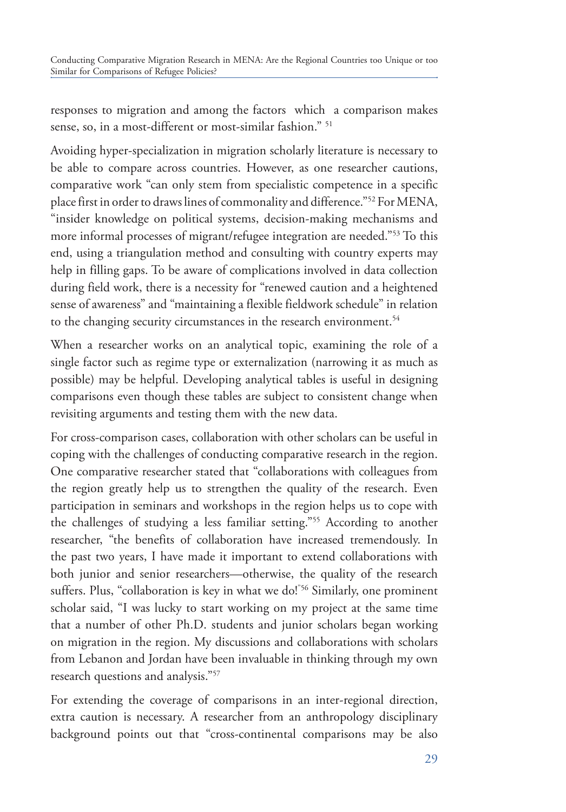responses to migration and among the factors which a comparison makes sense, so, in a most-different or most-similar fashion." 51

Avoiding hyper-specialization in migration scholarly literature is necessary to be able to compare across countries. However, as one researcher cautions, comparative work "can only stem from specialistic competence in a specific place first in order to draws lines of commonality and difference."52 For MENA, "insider knowledge on political systems, decision-making mechanisms and more informal processes of migrant/refugee integration are needed."53 To this end, using a triangulation method and consulting with country experts may help in filling gaps. To be aware of complications involved in data collection during field work, there is a necessity for "renewed caution and a heightened sense of awareness" and "maintaining a flexible fieldwork schedule" in relation to the changing security circumstances in the research environment.<sup>54</sup>

When a researcher works on an analytical topic, examining the role of a single factor such as regime type or externalization (narrowing it as much as possible) may be helpful. Developing analytical tables is useful in designing comparisons even though these tables are subject to consistent change when revisiting arguments and testing them with the new data.

For cross-comparison cases, collaboration with other scholars can be useful in coping with the challenges of conducting comparative research in the region. One comparative researcher stated that "collaborations with colleagues from the region greatly help us to strengthen the quality of the research. Even participation in seminars and workshops in the region helps us to cope with the challenges of studying a less familiar setting."55 According to another researcher, "the benefits of collaboration have increased tremendously. In the past two years, I have made it important to extend collaborations with both junior and senior researchers—otherwise, the quality of the research suffers. Plus, "collaboration is key in what we do!"<sup>56</sup> Similarly, one prominent scholar said, "I was lucky to start working on my project at the same time that a number of other Ph.D. students and junior scholars began working on migration in the region. My discussions and collaborations with scholars from Lebanon and Jordan have been invaluable in thinking through my own research questions and analysis."57

For extending the coverage of comparisons in an inter-regional direction, extra caution is necessary. A researcher from an anthropology disciplinary background points out that "cross-continental comparisons may be also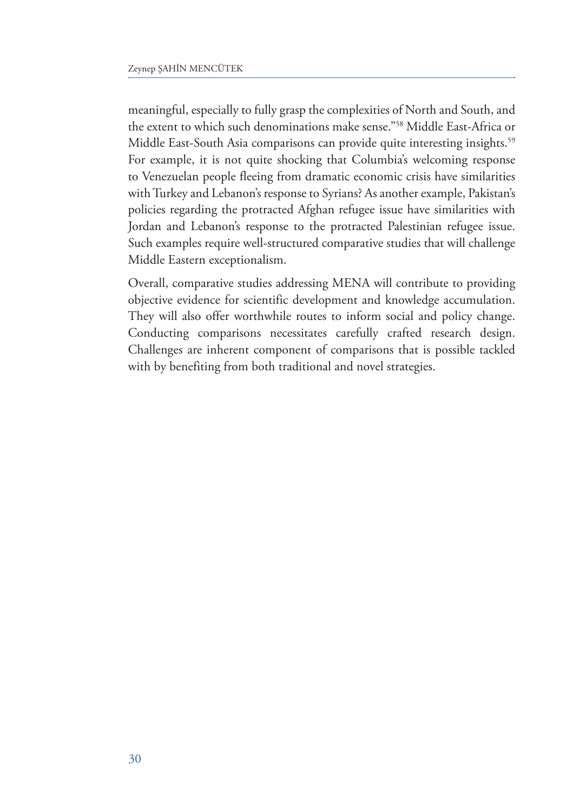meaningful, especially to fully grasp the complexities of North and South, and the extent to which such denominations make sense."58 Middle East-Africa or Middle East-South Asia comparisons can provide quite interesting insights.<sup>59</sup> For example, it is not quite shocking that Columbia's welcoming response to Venezuelan people fleeing from dramatic economic crisis have similarities with Turkey and Lebanon's response to Syrians? As another example, Pakistan's policies regarding the protracted Afghan refugee issue have similarities with Jordan and Lebanon's response to the protracted Palestinian refugee issue. Such examples require well-structured comparative studies that will challenge Middle Eastern exceptionalism.

Overall, comparative studies addressing MENA will contribute to providing objective evidence for scientific development and knowledge accumulation. They will also offer worthwhile routes to inform social and policy change. Conducting comparisons necessitates carefully crafted research design. Challenges are inherent component of comparisons that is possible tackled with by benefiting from both traditional and novel strategies.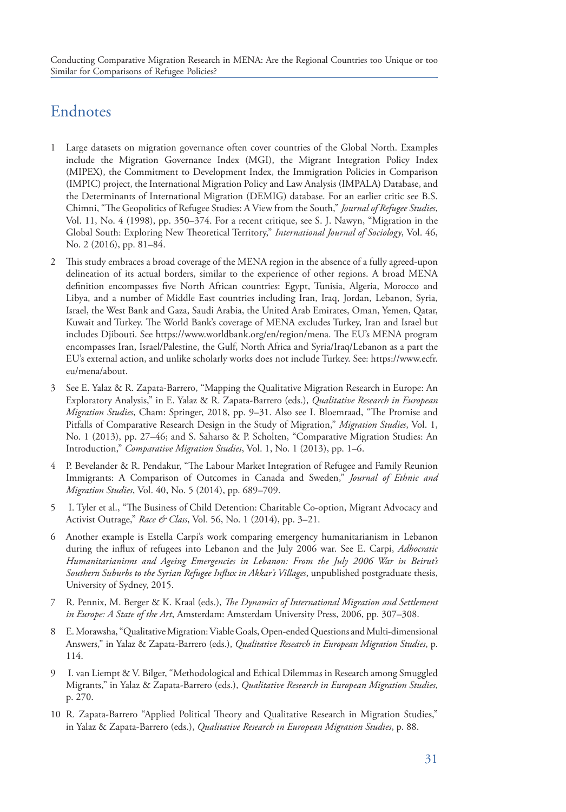# Endnotes

- 1 Large datasets on migration governance often cover countries of the Global North. Examples include the Migration Governance Index (MGI), the Migrant Integration Policy Index (MIPEX), the Commitment to Development Index, the Immigration Policies in Comparison (IMPIC) project, the International Migration Policy and Law Analysis (IMPALA) Database, and the Determinants of International Migration (DEMIG) database. For an earlier critic see B.S. Chimni, "The Geopolitics of Refugee Studies: A View from the South," *Journal of Refugee Studies*, Vol. 11, No. 4 (1998), pp. 350–374. For a recent critique, see S. J. Nawyn, "Migration in the Global South: Exploring New Theoretical Territory," *International Journal of Sociology*, Vol. 46, No. 2 (2016), pp. 81–84.
- 2 This study embraces a broad coverage of the MENA region in the absence of a fully agreed-upon delineation of its actual borders, similar to the experience of other regions. A broad MENA definition encompasses five North African countries: Egypt, Tunisia, Algeria, Morocco and Libya, and a number of Middle East countries including Iran, Iraq, Jordan, Lebanon, Syria, Israel, the West Bank and Gaza, Saudi Arabia, the United Arab Emirates, Oman, Yemen, Qatar, Kuwait and Turkey. The World Bank's coverage of MENA excludes Turkey, Iran and Israel but includes Djibouti. See https://www.worldbank.org/en/region/mena. The EU's MENA program encompasses Iran, Israel/Palestine, the Gulf, North Africa and Syria/Iraq/Lebanon as a part the EU's external action, and unlike scholarly works does not include Turkey. See: https://www.ecfr. eu/mena/about.
- 3 See E. Yalaz & R. Zapata-Barrero, "Mapping the Qualitative Migration Research in Europe: An Exploratory Analysis," in E. Yalaz & R. Zapata-Barrero (eds.), *Qualitative Research in European Migration Studies*, Cham: Springer, 2018, pp. 9–31. Also see I. Bloemraad, "The Promise and Pitfalls of Comparative Research Design in the Study of Migration," *Migration Studies*, Vol. 1, No. 1 (2013), pp. 27–46; and S. Saharso & P. Scholten, "Comparative Migration Studies: An Introduction," *Comparative Migration Studies*, Vol. 1, No. 1 (2013), pp. 1–6.
- 4 P. Bevelander & R. Pendakur, "The Labour Market Integration of Refugee and Family Reunion Immigrants: A Comparison of Outcomes in Canada and Sweden," *Journal of Ethnic and Migration Studies*, Vol. 40, No. 5 (2014), pp. 689–709.
- 5 I. Tyler et al., "The Business of Child Detention: Charitable Co-option, Migrant Advocacy and Activist Outrage," *Race & Class*, Vol. 56, No. 1 (2014), pp. 3–21.
- 6 Another example is Estella Carpi's work comparing emergency humanitarianism in Lebanon during the influx of refugees into Lebanon and the July 2006 war. See E. Carpi, *Adhocratic Humanitarianisms and Ageing Emergencies in Lebanon: From the July 2006 War in Beirut's Southern Suburbs to the Syrian Refugee Influx in Akkar's Villages*, unpublished postgraduate thesis, University of Sydney, 2015.
- 7 R. Pennix, M. Berger & K. Kraal (eds.), *The Dynamics of International Migration and Settlement in Europe: A State of the Art*, Amsterdam: Amsterdam University Press, 2006, pp. 307–308.
- 8 E. Morawsha, "Qualitative Migration: Viable Goals, Open-ended Questions and Multi-dimensional Answers," in Yalaz & Zapata-Barrero (eds.), *Qualitative Research in European Migration Studies*, p. 114.
- 9 I. van Liempt & V. Bilger, "Methodological and Ethical Dilemmas in Research among Smuggled Migrants," in Yalaz & Zapata-Barrero (eds.), *Qualitative Research in European Migration Studies*, p. 270.
- 10 R. Zapata-Barrero "Applied Political Theory and Qualitative Research in Migration Studies," in Yalaz & Zapata-Barrero (eds.), *Qualitative Research in European Migration Studies*, p. 88.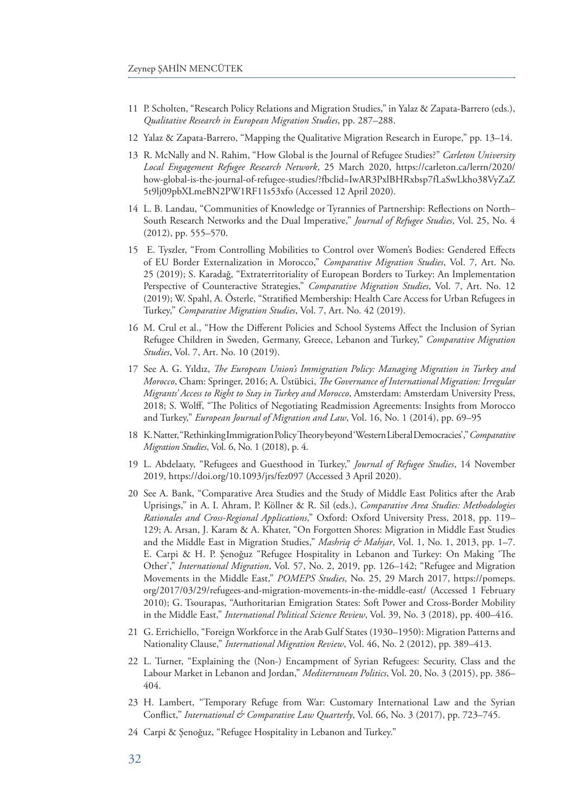- 11 P. Scholten, "Research Policy Relations and Migration Studies," in Yalaz & Zapata-Barrero (eds.), *Qualitative Research in European Migration Studies*, pp. 287–288.
- 12 Yalaz & Zapata-Barrero, "Mapping the Qualitative Migration Research in Europe," pp. 13–14.
- 13 R. McNally and N. Rahim, "How Global is the Journal of Refugee Studies?" *Carleton University Local Engagement Refugee Research Network*, 25 March 2020, https://carleton.ca/lerrn/2020/ how-global-is-the-journal-of-refugee-studies/?fbclid=IwAR3PxlBHRxbsp7fLaSwLkho38VyZaZ 5t9lj09pbXLmeBN2PW1RF11s53xfo (Accessed 12 April 2020).
- 14 L. B. Landau, "Communities of Knowledge or Tyrannies of Partnership: Reflections on North– South Research Networks and the Dual Imperative," *Journal of Refugee Studies*, Vol. 25, No. 4 (2012), pp. 555–570.
- 15 E. Tyszler, "From Controlling Mobilities to Control over Women's Bodies: Gendered Effects of EU Border Externalization in Morocco," *Comparative Migration Studies*, Vol. 7, Art. No. 25 (2019); S. Karadağ, "Extraterritoriality of European Borders to Turkey: An Implementation Perspective of Counteractive Strategies," *Comparative Migration Studies*, Vol. 7, Art. No. 12 (2019); W. Spahl, A. Österle, "Stratified Membership: Health Care Access for Urban Refugees in Turkey," *Comparative Migration Studies*, Vol. 7, Art. No. 42 (2019).
- 16 M. Crul et al., "How the Different Policies and School Systems Affect the Inclusion of Syrian Refugee Children in Sweden, Germany, Greece, Lebanon and Turkey," *Comparative Migration Studies*, Vol. 7, Art. No. 10 (2019).
- 17 See A. G. Yıldız, *The European Union's Immigration Policy: Managing Migration in Turkey and Morocco*, Cham: Springer, 2016; A. Üstübici, *The Governance of International Migration: Irregular Migrants' Access to Right to Stay in Turkey and Morocco*, Amsterdam: Amsterdam University Press, 2018; S. Wolff, "The Politics of Negotiating Readmission Agreements: Insights from Morocco and Turkey," *European Journal of Migration and Law*, Vol. 16, No. 1 (2014), pp. 69–95
- 18 K. Natter, "Rethinking Immigration Policy Theory beyond 'Western Liberal Democracies'," *Comparative Migration Studies*, Vol. 6, No. 1 (2018), p. 4.
- 19 L. Abdelaaty, "Refugees and Guesthood in Turkey," *Journal of Refugee Studies*, 14 November 2019, https://doi.org/10.1093/jrs/fez097 (Accessed 3 April 2020).
- 20 See A. Bank, "Comparative Area Studies and the Study of Middle East Politics after the Arab Uprisings," in A. I. Ahram, P. Köllner & R. Sil (eds.), *Comparative Area Studies: Methodologies Rationales and Cross-Regional Applications*," Oxford: Oxford University Press, 2018, pp. 119– 129; A. Arsan, J. Karam & A. Khater, "On Forgotten Shores: Migration in Middle East Studies and the Middle East in Migration Studies," *Mashriq & Mahjar*, Vol. 1, No. 1, 2013, pp. 1–7. E. Carpi & H. P. Şenoğuz "Refugee Hospitality in Lebanon and Turkey: On Making 'The Other'," *International Migration*, Vol. 57, No. 2, 2019, pp. 126–142; "Refugee and Migration Movements in the Middle East," *POMEPS Studies*, No. 25, 29 March 2017, https://pomeps. org/2017/03/29/refugees-and-migration-movements-in-the-middle-east/ (Accessed 1 February 2010); G. Tsourapas, "Authoritarian Emigration States: Soft Power and Cross-Border Mobility in the Middle East," *International Political Science Review*, Vol. 39, No. 3 (2018), pp. 400–416.
- 21 G. Errichiello, "Foreign Workforce in the Arab Gulf States (1930–1950): Migration Patterns and Nationality Clause," *International Migration Review*, Vol. 46, No. 2 (2012), pp. 389–413.
- 22 L. Turner, "Explaining the (Non-) Encampment of Syrian Refugees: Security, Class and the Labour Market in Lebanon and Jordan," *Mediterranean Politics*, Vol. 20, No. 3 (2015), pp. 386– 404.
- 23 H. Lambert, "Temporary Refuge from War: Customary International Law and the Syrian Conflict," *International & Comparative Law Quarterly*, Vol. 66, No. 3 (2017), pp. 723–745.
- 24 Carpi & Şenoğuz, "Refugee Hospitality in Lebanon and Turkey."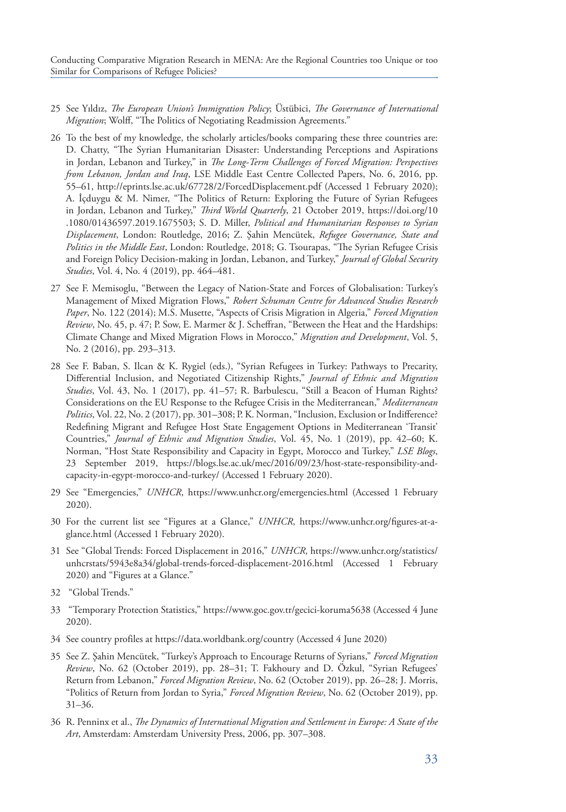Conducting Comparative Migration Research in MENA: Are the Regional Countries too Unique or too Similar for Comparisons of Refugee Policies?

- 25 See Yıldız, *The European Union's Immigration Policy*; Üstübici, *The Governance of International Migration*; Wolff, "The Politics of Negotiating Readmission Agreements."
- 26 To the best of my knowledge, the scholarly articles/books comparing these three countries are: D. Chatty, "The Syrian Humanitarian Disaster: Understanding Perceptions and Aspirations in Jordan, Lebanon and Turkey," in *The Long-Term Challenges of Forced Migration: Perspectives from Lebanon, Jordan and Iraq*, LSE Middle East Centre Collected Papers, No. 6, 2016, pp. 55–61, http://eprints.lse.ac.uk/67728/2/ForcedDisplacement.pdf (Accessed 1 February 2020); A. İçduygu & M. Nimer, "The Politics of Return: Exploring the Future of Syrian Refugees in Jordan, Lebanon and Turkey," *Third World Quarterly*, 21 October 2019, https://doi.org/10 .1080/01436597.2019.1675503; S. D. Miller, *Political and Humanitarian Responses to Syrian Displacement*, London: Routledge, 2016; Z. Şahin Mencütek, *Refugee Governance, State and Politics in the Middle East*, London: Routledge, 2018; G. Tsourapas, "The Syrian Refugee Crisis and Foreign Policy Decision-making in Jordan, Lebanon, and Turkey," *Journal of Global Security Studies*, Vol. 4, No. 4 (2019), pp. 464–481.
- 27 See F. Memisoglu, "Between the Legacy of Nation-State and Forces of Globalisation: Turkey's Management of Mixed Migration Flows," *Robert Schuman Centre for Advanced Studies Research Paper*, No. 122 (2014); M.S. Musette, "Aspects of Crisis Migration in Algeria," *Forced Migration Review*, No. 45, p. 47; P. Sow, E. Marmer & J. Scheffran, "Between the Heat and the Hardships: Climate Change and Mixed Migration Flows in Morocco," *Migration and Development*, Vol. 5, No. 2 (2016), pp. 293–313.
- 28 See F. Baban, S. Ilcan & K. Rygiel (eds.), "Syrian Refugees in Turkey: Pathways to Precarity, Differential Inclusion, and Negotiated Citizenship Rights," *Journal of Ethnic and Migration Studies*, Vol. 43, No. 1 (2017), pp. 41–57; R. Barbulescu, "Still a Beacon of Human Rights? Considerations on the EU Response to the Refugee Crisis in the Mediterranean," *Mediterranean Politics*, Vol. 22, No. 2 (2017), pp. 301–308; P. K. Norman, "Inclusion, Exclusion or Indifference? Redefining Migrant and Refugee Host State Engagement Options in Mediterranean 'Transit' Countries," *Journal of Ethnic and Migration Studies*, Vol. 45, No. 1 (2019), pp. 42–60; K. Norman, "Host State Responsibility and Capacity in Egypt, Morocco and Turkey," *LSE Blogs*, 23 September 2019, https://blogs.lse.ac.uk/mec/2016/09/23/host-state-responsibility-andcapacity-in-egypt-morocco-and-turkey/ (Accessed 1 February 2020).
- 29 See "Emergencies," *UNHCR*, https://www.unhcr.org/emergencies.html (Accessed 1 February 2020).
- 30 For the current list see "Figures at a Glance," *UNHCR*, https://www.unhcr.org/figures-at-aglance.html (Accessed 1 February 2020).
- 31 See "Global Trends: Forced Displacement in 2016," *UNHCR*, https://www.unhcr.org/statistics/ unhcrstats/5943e8a34/global-trends-forced-displacement-2016.html (Accessed 1 February 2020) and "Figures at a Glance."
- 32 "Global Trends."
- 33 "Temporary Protection Statistics," https://www.goc.gov.tr/gecici-koruma5638 (Accessed 4 June 2020).
- 34 See country profiles at https://data.worldbank.org/country (Accessed 4 June 2020)
- 35 See Z. Şahin Mencütek, "Turkey's Approach to Encourage Returns of Syrians," *Forced Migration Review*, No. 62 (October 2019), pp. 28–31; T. Fakhoury and D. Özkul, "Syrian Refugees' Return from Lebanon," *Forced Migration Review*, No. 62 (October 2019), pp. 26–28; J. Morris, "Politics of Return from Jordan to Syria," *Forced Migration Review*, No. 62 (October 2019), pp. 31–36.
- 36 R. Penninx et al., *The Dynamics of International Migration and Settlement in Europe: A State of the Art*, Amsterdam: Amsterdam University Press, 2006, pp. 307–308.